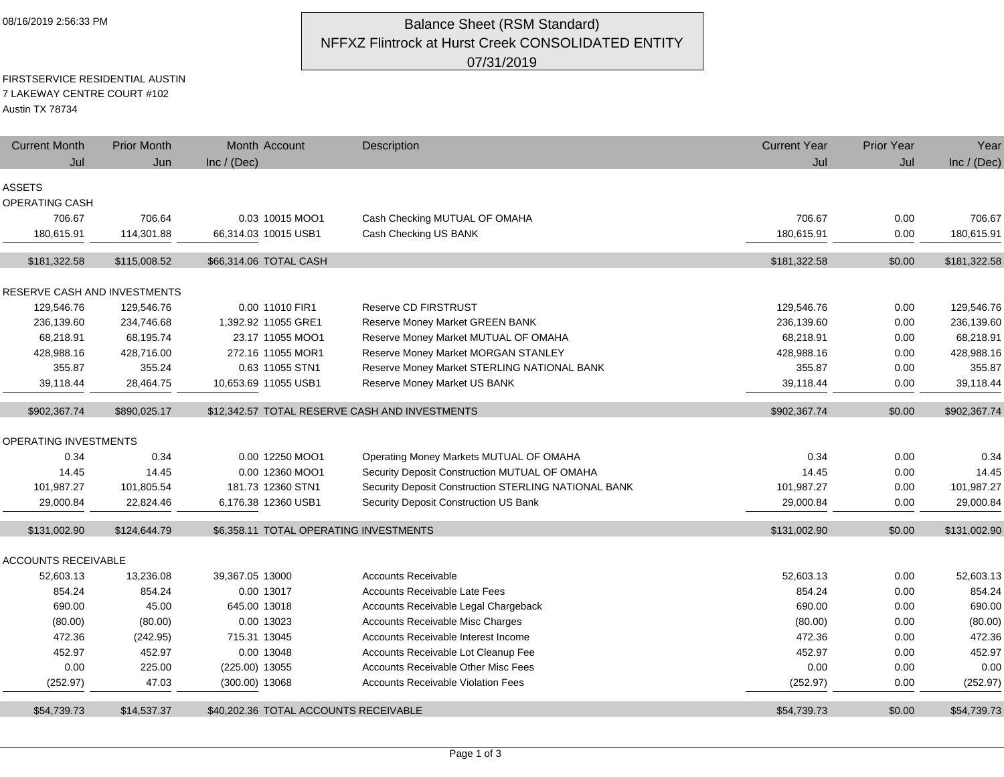## 08/16/2019 2:56:33 PM **Balance Sheet (RSM Standard)** NFFXZ Flintrock at Hurst Creek CONSOLIDATED ENTITY 07/31/2019

### FIRSTSERVICE RESIDENTIAL AUSTIN 7 LAKEWAY CENTRE COURT #102

Austin TX 78734

| <b>Current Month</b>         | <b>Prior Month</b>   | Month Account                          | Description                                                                        | <b>Current Year</b>  | <b>Prior Year</b> | Year                 |
|------------------------------|----------------------|----------------------------------------|------------------------------------------------------------------------------------|----------------------|-------------------|----------------------|
| Jul                          | Jun                  | Inc / (Dec)                            |                                                                                    | Jul                  | Jul               | Inc / $(Dec)$        |
| <b>ASSETS</b>                |                      |                                        |                                                                                    |                      |                   |                      |
| OPERATING CASH               |                      |                                        |                                                                                    |                      |                   |                      |
| 706.67                       | 706.64               | 0.03 10015 MOO1                        | Cash Checking MUTUAL OF OMAHA                                                      | 706.67               | 0.00              | 706.67               |
| 180,615.91                   | 114,301.88           | 66,314.03 10015 USB1                   | Cash Checking US BANK                                                              | 180,615.91           | 0.00              | 180,615.91           |
|                              |                      |                                        |                                                                                    |                      |                   |                      |
| \$181,322.58                 | \$115,008.52         | \$66,314.06 TOTAL CASH                 |                                                                                    | \$181,322.58         | \$0.00            | \$181,322.58         |
|                              |                      |                                        |                                                                                    |                      |                   |                      |
| RESERVE CASH AND INVESTMENTS |                      |                                        |                                                                                    |                      |                   |                      |
| 129,546.76                   | 129,546.76           | 0.00 11010 FIR1                        | <b>Reserve CD FIRSTRUST</b>                                                        | 129,546.76           | 0.00              | 129,546.76           |
| 236,139.60                   | 234,746.68           | 1,392.92 11055 GRE1                    | <b>Reserve Money Market GREEN BANK</b>                                             | 236,139.60           | 0.00              | 236,139.60           |
| 68,218.91                    | 68,195.74            | 23.17 11055 MOO1<br>272.16 11055 MOR1  | Reserve Money Market MUTUAL OF OMAHA                                               | 68,218.91            | 0.00              | 68,218.91            |
| 428,988.16<br>355.87         | 428,716.00<br>355.24 | 0.63 11055 STN1                        | Reserve Money Market MORGAN STANLEY<br>Reserve Money Market STERLING NATIONAL BANK | 428,988.16<br>355.87 | 0.00              | 428,988.16<br>355.87 |
| 39,118.44                    | 28,464.75            | 10,653.69 11055 USB1                   | Reserve Money Market US BANK                                                       | 39,118.44            | 0.00<br>0.00      | 39,118.44            |
|                              |                      |                                        |                                                                                    |                      |                   |                      |
| \$902,367.74                 | \$890,025.17         |                                        | \$12,342.57 TOTAL RESERVE CASH AND INVESTMENTS                                     | \$902,367.74         | \$0.00            | \$902,367.74         |
| OPERATING INVESTMENTS        |                      |                                        |                                                                                    |                      |                   |                      |
| 0.34                         | 0.34                 | 0.00 12250 MOO1                        | Operating Money Markets MUTUAL OF OMAHA                                            | 0.34                 | 0.00              | 0.34                 |
| 14.45                        | 14.45                | 0.00 12360 MOO1                        | Security Deposit Construction MUTUAL OF OMAHA                                      | 14.45                | 0.00              | 14.45                |
| 101,987.27                   | 101,805.54           | 181.73 12360 STN1                      | Security Deposit Construction STERLING NATIONAL BANK                               | 101,987.27           | 0.00              | 101,987.27           |
| 29,000.84                    | 22,824.46            | 6,176.38 12360 USB1                    | Security Deposit Construction US Bank                                              | 29,000.84            | 0.00              | 29,000.84            |
|                              |                      |                                        |                                                                                    |                      |                   |                      |
| \$131,002.90                 | \$124,644.79         | \$6.358.11 TOTAL OPERATING INVESTMENTS |                                                                                    | \$131.002.90         | \$0.00            | \$131,002.90         |
| <b>ACCOUNTS RECEIVABLE</b>   |                      |                                        |                                                                                    |                      |                   |                      |
| 52,603.13                    | 13,236.08            | 39,367.05 13000                        | <b>Accounts Receivable</b>                                                         | 52,603.13            | 0.00              | 52,603.13            |
| 854.24                       | 854.24               | 0.00 13017                             | <b>Accounts Receivable Late Fees</b>                                               | 854.24               | 0.00              | 854.24               |
| 690.00                       | 45.00                | 645.00 13018                           | Accounts Receivable Legal Chargeback                                               | 690.00               | 0.00              | 690.00               |
| (80.00)                      | (80.00)              | 0.00 13023                             | <b>Accounts Receivable Misc Charges</b>                                            | (80.00)              | 0.00              | (80.00)              |
| 472.36                       | (242.95)             | 715.31 13045                           | Accounts Receivable Interest Income                                                | 472.36               | 0.00              | 472.36               |
| 452.97                       | 452.97               | 0.00 13048                             | Accounts Receivable Lot Cleanup Fee                                                | 452.97               | 0.00              | 452.97               |
| 0.00                         | 225.00               | (225.00) 13055                         | <b>Accounts Receivable Other Misc Fees</b>                                         | 0.00                 | 0.00              | 0.00                 |
| (252.97)                     | 47.03                | $(300.00)$ 13068                       | <b>Accounts Receivable Violation Fees</b>                                          | (252.97)             | 0.00              | (252.97)             |
| \$54,739.73                  | \$14,537.37          | \$40,202.36 TOTAL ACCOUNTS RECEIVABLE  |                                                                                    | \$54,739.73          | \$0.00            | \$54,739.73          |
|                              |                      |                                        |                                                                                    |                      |                   |                      |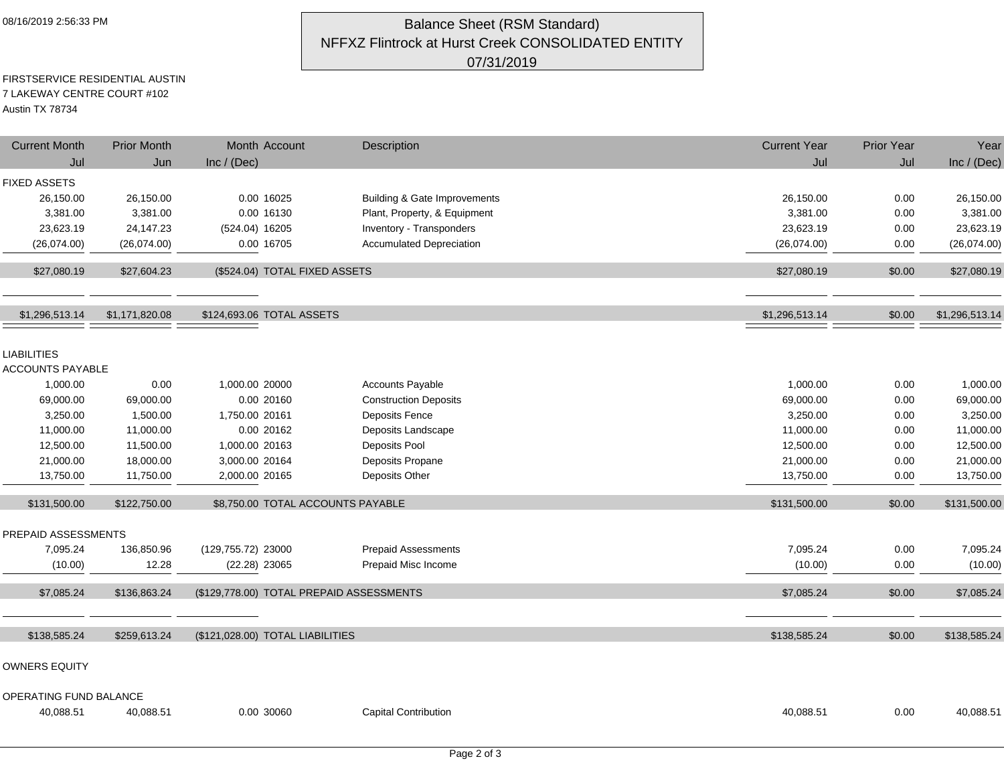## 08/16/2019 2:56:33 PM **Balance Sheet (RSM Standard)** NFFXZ Flintrock at Hurst Creek CONSOLIDATED ENTITY 07/31/2019

#### FIRSTSERVICE RESIDENTIAL AUSTIN 7 LAKEWAY CENTRE COURT #102 Austin TX 78734

| <b>Current Month</b><br>Jul | <b>Prior Month</b><br>Jun | Month Account<br>Inc / $(Dec)$           | Description                             | <b>Current Year</b><br>Jul | Prior Year<br>Jul | Year<br>Inc / (Dec) |
|-----------------------------|---------------------------|------------------------------------------|-----------------------------------------|----------------------------|-------------------|---------------------|
|                             |                           |                                          |                                         |                            |                   |                     |
| <b>FIXED ASSETS</b>         |                           |                                          |                                         |                            |                   |                     |
| 26,150.00                   | 26,150.00                 | 0.00 16025                               | <b>Building &amp; Gate Improvements</b> | 26,150.00                  | 0.00              | 26,150.00           |
| 3,381.00                    | 3,381.00                  | 0.00 16130                               | Plant, Property, & Equipment            | 3,381.00                   | 0.00              | 3,381.00            |
| 23,623.19                   | 24,147.23                 | (524.04) 16205                           | Inventory - Transponders                | 23,623.19                  | 0.00              | 23,623.19           |
| (26,074.00)                 | (26,074.00)               | 0.00 16705                               | <b>Accumulated Depreciation</b>         | (26,074.00)                | 0.00              | (26,074.00)         |
| \$27,080.19                 | \$27,604.23               | (\$524.04) TOTAL FIXED ASSETS            |                                         | \$27,080.19                | \$0.00            | \$27,080.19         |
|                             |                           |                                          |                                         |                            |                   |                     |
| \$1,296,513.14              | \$1,171,820.08            | \$124,693.06 TOTAL ASSETS                |                                         | \$1,296,513.14             | \$0.00            | \$1,296,513.14      |
| <b>LIABILITIES</b>          |                           |                                          |                                         |                            |                   |                     |
| <b>ACCOUNTS PAYABLE</b>     |                           |                                          |                                         |                            |                   |                     |
| 1,000.00                    | 0.00                      | 1,000.00 20000                           | <b>Accounts Payable</b>                 | 1,000.00                   | 0.00              | 1,000.00            |
| 69,000.00                   | 69,000.00                 | 0.00 20160                               | <b>Construction Deposits</b>            | 69,000.00                  | 0.00              | 69,000.00           |
| 3,250.00                    | 1,500.00                  | 1,750.00 20161                           | <b>Deposits Fence</b>                   | 3,250.00                   | 0.00              | 3,250.00            |
| 11,000.00                   | 11,000.00                 | 0.00 20162                               | Deposits Landscape                      | 11,000.00                  | 0.00              | 11,000.00           |
| 12,500.00                   | 11,500.00                 | 1,000.00 20163                           | Deposits Pool                           | 12,500.00                  | 0.00              | 12,500.00           |
| 21,000.00                   | 18,000.00                 | 3,000.00 20164                           | Deposits Propane                        | 21,000.00                  | 0.00              | 21,000.00           |
| 13,750.00                   | 11,750.00                 | 2,000.00 20165                           | Deposits Other                          | 13,750.00                  | 0.00              | 13,750.00           |
|                             |                           |                                          |                                         |                            |                   |                     |
| \$131,500.00                | \$122,750.00              | \$8,750.00 TOTAL ACCOUNTS PAYABLE        |                                         | \$131,500.00               | \$0.00            | \$131,500.00        |
| PREPAID ASSESSMENTS         |                           |                                          |                                         |                            |                   |                     |
| 7,095.24                    | 136,850.96                | (129,755.72) 23000                       | <b>Prepaid Assessments</b>              | 7,095.24                   | 0.00              | 7,095.24            |
| (10.00)                     | 12.28                     | $(22.28)$ 23065                          | Prepaid Misc Income                     | (10.00)                    | 0.00              | (10.00)             |
|                             |                           |                                          |                                         |                            |                   |                     |
| \$7,085.24                  | \$136,863.24              | (\$129,778.00) TOTAL PREPAID ASSESSMENTS |                                         | \$7,085.24                 | \$0.00            | \$7,085.24          |
| \$138,585.24                | \$259,613.24              | (\$121,028.00) TOTAL LIABILITIES         |                                         | \$138,585.24               | \$0.00            | \$138,585.24        |
| <b>OWNERS EQUITY</b>        |                           |                                          |                                         |                            |                   |                     |
|                             |                           |                                          |                                         |                            |                   |                     |
| OPERATING FUND BALANCE      |                           |                                          |                                         |                            |                   |                     |
| 40,088.51                   | 40,088.51                 | 0.00 30060                               | <b>Capital Contribution</b>             | 40,088.51                  | 0.00              | 40,088.51           |
|                             |                           |                                          |                                         |                            |                   |                     |